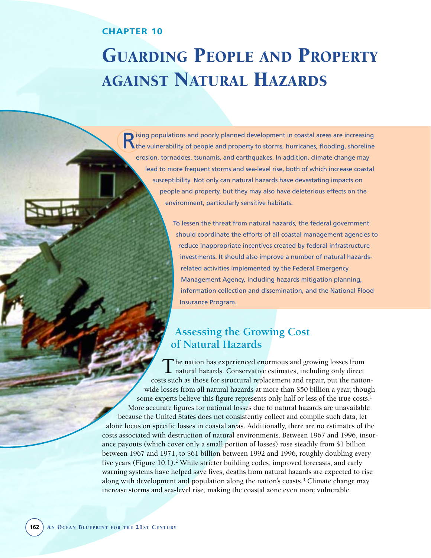### **CHAPTER 10**

**TTLE** 

# GUARDING PEOPLE AND PROPERTY AGAINST NATURAL HAZARDS

**R** ising populations and poorly planned development in coastal areas are increasing<br>the vulnerability of people and property to storms, hurricanes, flooding, shoreline erosion, tornadoes, tsunamis, and earthquakes. In addition, climate change may lead to more frequent storms and sea-level rise, both of which increase coastal susceptibility. Not only can natural hazards have devastating impacts on people and property, but they may also have deleterious effects on the environment, particularly sensitive habitats.

> To lessen the threat from natural hazards, the federal government should coordinate the efforts of all coastal management agencies to reduce inappropriate incentives created by federal infrastructure investments. It should also improve a number of natural hazardsrelated activities implemented by the Federal Emergency Management Agency, including hazards mitigation planning, information collection and dissemination, and the National Flood Insurance Program.

# **Assessing the Growing Cost of Natural Hazards**

The nation has experienced enormous and growing losses from natural hazards. Conservative estimates, including only direct costs such as those for structural replacement and repair, put the nationwide losses from all natural hazards at more than \$50 billion a year, though some experts believe this figure represents only half or less of the true costs.<sup>1</sup> More accurate figures for national losses due to natural hazards are unavailable because the United States does not consistently collect and compile such data, let alone focus on specific losses in coastal areas. Additionally, there are no estimates of the costs associated with destruction of natural environments. Between 1967 and 1996, insurance payouts (which cover only a small portion of losses) rose steadily from \$1 billion between 1967 and 1971, to \$61 billion between 1992 and 1996, roughly doubling every five years (Figure 10.1).2 While stricter building codes, improved forecasts, and early warning systems have helped save lives, deaths from natural hazards are expected to rise along with development and population along the nation's coasts.3 Climate change may increase storms and sea-level rise, making the coastal zone even more vulnerable.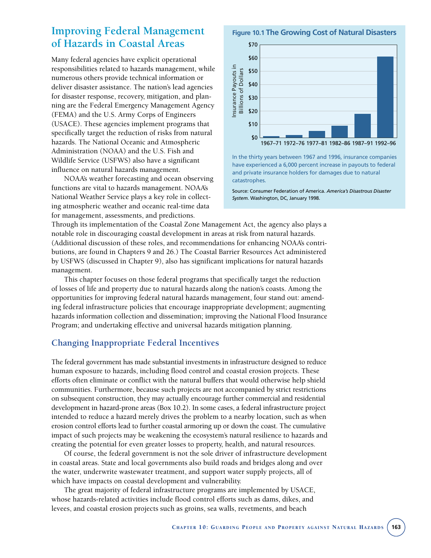# **Improving Federal Management of Hazards in Coastal Areas**

Many federal agencies have explicit operational responsibilities related to hazards management, while numerous others provide technical information or deliver disaster assistance. The nation's lead agencies for disaster response, recovery, mitigation, and planning are the Federal Emergency Management Agency (FEMA) and the U.S. Army Corps of Engineers (USACE). These agencies implement programs that specifically target the reduction of risks from natural hazards. The National Oceanic and Atmospheric Administration (NOAA) and the U.S. Fish and Wildlife Service (USFWS) also have a significant influence on natural hazards management.

NOAA's weather forecasting and ocean observing functions are vital to hazards management. NOAA's National Weather Service plays a key role in collecting atmospheric weather and oceanic real-time data for management, assessments, and predictions.

**Figure 10.1 The Growing Cost of Natural Disasters**



In the thirty years between 1967 and 1996, insurance companies have experienced a 6,000 percent increase in payouts to federal and private insurance holders for damages due to natural catastrophes.

Source: Consumer Federation of America. *America's Disastrous Disaster System.* Washington, DC, January 1998.

Through its implementation of the Coastal Zone Management Act, the agency also plays a notable role in discouraging coastal development in areas at risk from natural hazards. (Additional discussion of these roles, and recommendations for enhancing NOAA's contributions, are found in Chapters 9 and 26.) The Coastal Barrier Resources Act administered by USFWS (discussed in Chapter 9), also has significant implications for natural hazards management.

This chapter focuses on those federal programs that specifically target the reduction of losses of life and property due to natural hazards along the nation's coasts. Among the opportunities for improving federal natural hazards management, four stand out: amending federal infrastructure policies that encourage inappropriate development; augmenting hazards information collection and dissemination; improving the National Flood Insurance Program; and undertaking effective and universal hazards mitigation planning.

## **Changing Inappropriate Federal Incentives**

The federal government has made substantial investments in infrastructure designed to reduce human exposure to hazards, including flood control and coastal erosion projects. These efforts often eliminate or conflict with the natural buffers that would otherwise help shield communities. Furthermore, because such projects are not accompanied by strict restrictions on subsequent construction, they may actually encourage further commercial and residential development in hazard-prone areas (Box 10.2). In some cases, a federal infrastructure project intended to reduce a hazard merely drives the problem to a nearby location, such as when erosion control efforts lead to further coastal armoring up or down the coast. The cumulative impact of such projects may be weakening the ecosystem's natural resilience to hazards and creating the potential for even greater losses to property, health, and natural resources.

Of course, the federal government is not the sole driver of infrastructure development in coastal areas. State and local governments also build roads and bridges along and over the water, underwrite wastewater treatment, and support water supply projects, all of which have impacts on coastal development and vulnerability.

The great majority of federal infrastructure programs are implemented by USACE, whose hazards-related activities include flood control efforts such as dams, dikes, and levees, and coastal erosion projects such as groins, sea walls, revetments, and beach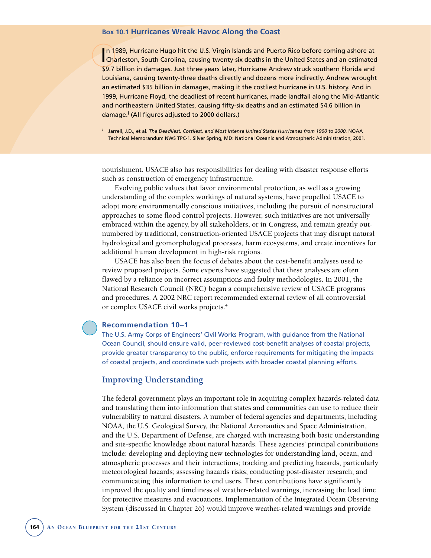#### **Box 10.1 Hurricanes Wreak Havoc Along the Coast**

In 1989, Hurricane Hugo hit the U.S. Virgin Islands and Puerto Rico before coming ashore at<br>Charleston, South Carolina, causing twenty-six deaths in the United States and an estimated n 1989, Hurricane Hugo hit the U.S. Virgin Islands and Puerto Rico before coming ashore at \$9.7 billion in damages. Just three years later, Hurricane Andrew struck southern Florida and Louisiana, causing twenty-three deaths directly and dozens more indirectly. Andrew wrought an estimated \$35 billion in damages, making it the costliest hurricane in U.S. history. And in 1999, Hurricane Floyd, the deadliest of recent hurricanes, made landfall along the Mid-Atlantic and northeastern United States, causing fifty-six deaths and an estimated \$4.6 billion in damage.<sup>i</sup> (All figures adjusted to 2000 dollars.)

*<sup>i</sup>* Jarrell, J.D., et al. *The Deadliest, Costliest, and Most Intense United States Hurricanes from 1900 to 2000.* NOAA Technical Memorandum NWS TPC-1. Silver Spring, MD: National Oceanic and Atmospheric Administration, 2001.

nourishment. USACE also has responsibilities for dealing with disaster response efforts such as construction of emergency infrastructure.

Evolving public values that favor environmental protection, as well as a growing understanding of the complex workings of natural systems, have propelled USACE to adopt more environmentally conscious initiatives, including the pursuit of nonstructural approaches to some flood control projects. However, such initiatives are not universally embraced within the agency, by all stakeholders, or in Congress, and remain greatly outnumbered by traditional, construction-oriented USACE projects that may disrupt natural hydrological and geomorphological processes, harm ecosystems, and create incentives for additional human development in high-risk regions.

USACE has also been the focus of debates about the cost-benefit analyses used to review proposed projects. Some experts have suggested that these analyses are often flawed by a reliance on incorrect assumptions and faulty methodologies. In 2001, the National Research Council (NRC) began a comprehensive review of USACE programs and procedures. A 2002 NRC report recommended external review of all controversial or complex USACE civil works projects.4

#### **Recommendation 10–1**

The U.S. Army Corps of Engineers' Civil Works Program, with guidance from the National Ocean Council, should ensure valid, peer-reviewed cost-benefit analyses of coastal projects, provide greater transparency to the public, enforce requirements for mitigating the impacts of coastal projects, and coordinate such projects with broader coastal planning efforts.

#### **Improving Understanding**

The federal government plays an important role in acquiring complex hazards-related data and translating them into information that states and communities can use to reduce their vulnerability to natural disasters. A number of federal agencies and departments, including NOAA, the U.S. Geological Survey, the National Aeronautics and Space Administration, and the U.S. Department of Defense, are charged with increasing both basic understanding and site-specific knowledge about natural hazards. These agencies' principal contributions include: developing and deploying new technologies for understanding land, ocean, and atmospheric processes and their interactions; tracking and predicting hazards, particularly meteorological hazards; assessing hazards risks; conducting post-disaster research; and communicating this information to end users. These contributions have significantly improved the quality and timeliness of weather-related warnings, increasing the lead time for protective measures and evacuations. Implementation of the Integrated Ocean Observing System (discussed in Chapter 26) would improve weather-related warnings and provide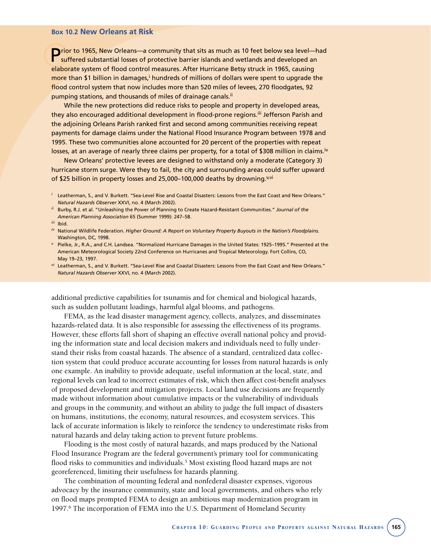#### **Box 10.2 New Orleans at Risk**

**Prior to 1965, New Orleans—a community that sits as much as 10 feet below sea level—had** suffered substantial losses of protective barrier islands and wetlands and developed an elaborate system of flood control measures. After Hurricane Betsy struck in 1965, causing more than \$1 billion in damages,<sup>i</sup> hundreds of millions of dollars were spent to upgrade the flood control system that now includes more than 520 miles of levees, 270 floodgates, 92 pumping stations, and thousands of miles of drainage canals.<sup>ii</sup>

While the new protections did reduce risks to people and property in developed areas, they also encouraged additional development in flood-prone regions.<sup>iii</sup> Jefferson Parish and the adjoining Orleans Parish ranked first and second among communities receiving repeat payments for damage claims under the National Flood Insurance Program between 1978 and 1995. These two communities alone accounted for 20 percent of the properties with repeat losses, at an average of nearly three claims per property, for a total of \$308 million in claims.<sup>iv</sup>

New Orleans' protective levees are designed to withstand only a moderate (Category 3) hurricane storm surge. Were they to fail, the city and surrounding areas could suffer upward of \$25 billion in property losses and 25,000–100,000 deaths by drowning.<sup>y,vi</sup>

- *ii* Burby, R.J. et al. "Unleashing the Power of Planning to Create Hazard-Resistant Communities." *Journal of the American Planning Association* 65 (Summer 1999): 247–58.
- *iii* Ibid.
- *iv* National Wildlife Federation. *Higher Ground: A Report on Voluntary Property Buyouts in the Nation's Floodplains.* Washington, DC, 1998.
- *<sup>v</sup>* Pielke, Jr., R.A., and C.H. Landsea. "Normalized Hurricane Damages in the United States: 1925–1995." Presented at the American Meteorological Society 22nd Conference on Hurricanes and Tropical Meteorology. Fort Collins, CO, May 19–23, 1997.
- *vi* Leatherman, S., and V. Burkett. "Sea-Level Rise and Coastal Disasters: Lessons from the East Coast and New Orleans." *Natural Hazards Observer* XXVI, no. 4 (March 2002).

additional predictive capabilities for tsunamis and for chemical and biological hazards, such as sudden pollutant loadings, harmful algal blooms, and pathogens.

FEMA, as the lead disaster management agency, collects, analyzes, and disseminates hazards-related data. It is also responsible for assessing the effectiveness of its programs. However, these efforts fall short of shaping an effective overall national policy and providing the information state and local decision makers and individuals need to fully understand their risks from coastal hazards. The absence of a standard, centralized data collection system that could produce accurate accounting for losses from natural hazards is only one example. An inability to provide adequate, useful information at the local, state, and regional levels can lead to incorrect estimates of risk, which then affect cost-benefit analyses of proposed development and mitigation projects. Local land use decisions are frequently made without information about cumulative impacts or the vulnerability of individuals and groups in the community, and without an ability to judge the full impact of disasters on humans, institutions, the economy, natural resources, and ecosystem services. This lack of accurate information is likely to reinforce the tendency to underestimate risks from natural hazards and delay taking action to prevent future problems.

Flooding is the most costly of natural hazards, and maps produced by the National Flood Insurance Program are the federal government's primary tool for communicating flood risks to communities and individuals.<sup>5</sup> Most existing flood hazard maps are not georeferenced, limiting their usefulness for hazards planning.

The combination of mounting federal and nonfederal disaster expenses, vigorous advocacy by the insurance community, state and local governments, and others who rely on flood maps prompted FEMA to design an ambitious map modernization program in 1997.6 The incorporation of FEMA into the U.S. Department of Homeland Security

*<sup>i</sup>* Leatherman, S., and V. Burkett. "Sea-Level Rise and Coastal Disasters: Lessons from the East Coast and New Orleans." *Natural Hazards Observer* XXVI, no. 4 (March 2002).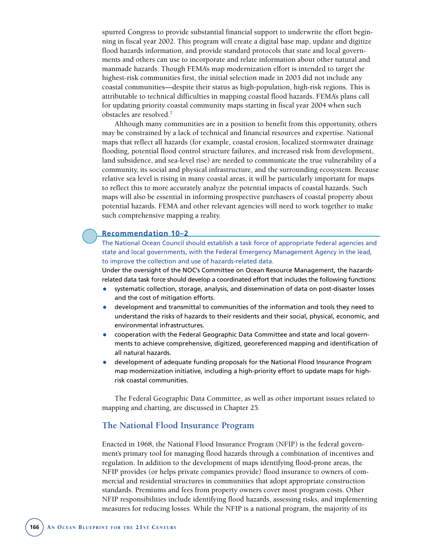spurred Congress to provide substantial financial support to underwrite the effort beginning in fiscal year 2002. This program will create a digital base map, update and digitize flood hazards information, and provide standard protocols that state and local governments and others can use to incorporate and relate information about other natural and manmade hazards. Though FEMA's map modernization effort is intended to target the highest-risk communities first, the initial selection made in 2003 did not include any coastal communities—despite their status as high-population, high-risk regions. This is attributable to technical difficulties in mapping coastal flood hazards. FEMA's plans call for updating priority coastal community maps starting in fiscal year 2004 when such obstacles are resolved.7

Although many communities are in a position to benefit from this opportunity, others may be constrained by a lack of technical and financial resources and expertise. National maps that reflect all hazards (for example, coastal erosion, localized stormwater drainage flooding, potential flood control structure failures, and increased risk from development, land subsidence, and sea-level rise) are needed to communicate the true vulnerability of a community, its social and physical infrastructure, and the surrounding ecosystem. Because relative sea level is rising in many coastal areas, it will be particularly important for maps to reflect this to more accurately analyze the potential impacts of coastal hazards. Such maps will also be essential in informing prospective purchasers of coastal property about potential hazards. FEMA and other relevant agencies will need to work together to make such comprehensive mapping a reality.

#### **Recommendation 10–2**

The National Ocean Council should establish a task force of appropriate federal agencies and state and local governments, with the Federal Emergency Management Agency in the lead, to improve the collection and use of hazards-related data.

Under the oversight of the NOC's Committee on Ocean Resource Management, the hazardsrelated data task force should develop a coordinated effort that includes the following functions:

- systematic collection, storage, analysis, and dissemination of data on post-disaster losses and the cost of mitigation efforts.
- development and transmittal to communities of the information and tools they need to understand the risks of hazards to their residents and their social, physical, economic, and environmental infrastructures.
- cooperation with the Federal Geographic Data Committee and state and local governments to achieve comprehensive, digitized, georeferenced mapping and identification of all natural hazards.
- development of adequate funding proposals for the National Flood Insurance Program map modernization initiative, including a high-priority effort to update maps for highrisk coastal communities.

The Federal Geographic Data Committee, as well as other important issues related to mapping and charting, are discussed in Chapter 25.

#### **The National Flood Insurance Program**

Enacted in 1968, the National Flood Insurance Program (NFIP) is the federal government's primary tool for managing flood hazards through a combination of incentives and regulation. In addition to the development of maps identifying flood-prone areas, the NFIP provides (or helps private companies provide) flood insurance to owners of commercial and residential structures in communities that adopt appropriate construction standards. Premiums and fees from property owners cover most program costs. Other NFIP responsibilities include identifying flood hazards, assessing risks, and implementing measures for reducing losses. While the NFIP is a national program, the majority of its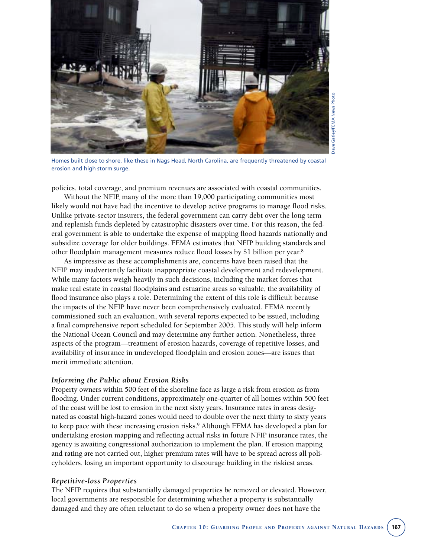

Gatley/FEMA News Photo Dave Gatley/FEMA News PhotoDave

Homes built close to shore, like these in Nags Head, North Carolina, are frequently threatened by coastal erosion and high storm surge.

policies, total coverage, and premium revenues are associated with coastal communities.

Without the NFIP, many of the more than 19,000 participating communities most likely would not have had the incentive to develop active programs to manage flood risks. Unlike private-sector insurers, the federal government can carry debt over the long term and replenish funds depleted by catastrophic disasters over time. For this reason, the federal government is able to undertake the expense of mapping flood hazards nationally and subsidize coverage for older buildings. FEMA estimates that NFIP building standards and other floodplain management measures reduce flood losses by \$1 billion per year.8

As impressive as these accomplishments are, concerns have been raised that the NFIP may inadvertently facilitate inappropriate coastal development and redevelopment. While many factors weigh heavily in such decisions, including the market forces that make real estate in coastal floodplains and estuarine areas so valuable, the availability of flood insurance also plays a role. Determining the extent of this role is difficult because the impacts of the NFIP have never been comprehensively evaluated. FEMA recently commissioned such an evaluation, with several reports expected to be issued, including a final comprehensive report scheduled for September 2005. This study will help inform the National Ocean Council and may determine any further action. Nonetheless, three aspects of the program—treatment of erosion hazards, coverage of repetitive losses, and availability of insurance in undeveloped floodplain and erosion zones—are issues that merit immediate attention.

#### *Informing the Public about Erosion Risks*

Property owners within 500 feet of the shoreline face as large a risk from erosion as from flooding. Under current conditions, approximately one-quarter of all homes within 500 feet of the coast will be lost to erosion in the next sixty years. Insurance rates in areas designated as coastal high-hazard zones would need to double over the next thirty to sixty years to keep pace with these increasing erosion risks.<sup>9</sup> Although FEMA has developed a plan for undertaking erosion mapping and reflecting actual risks in future NFIP insurance rates, the agency is awaiting congressional authorization to implement the plan. If erosion mapping and rating are not carried out, higher premium rates will have to be spread across all policyholders, losing an important opportunity to discourage building in the riskiest areas.

#### *Repetitive-loss Properties*

The NFIP requires that substantially damaged properties be removed or elevated. However, local governments are responsible for determining whether a property is substantially damaged and they are often reluctant to do so when a property owner does not have the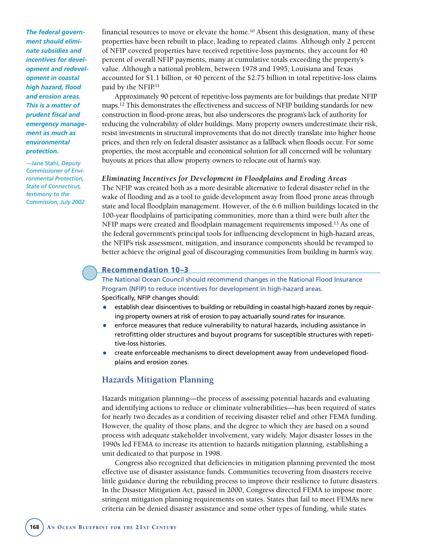*The federal government should eliminate subsidies and incentives for development and redevelopment in coastal high hazard, flood and erosion areas. This is a matter of prudent fiscal and emergency management as much as environmental protection.*

—Jane Stahl, *Deputy Commissioner of Environmental Protection, State of Connecticut, testimony to the Commission, July 2002* financial resources to move or elevate the home.<sup>10</sup> Absent this designation, many of these properties have been rebuilt in place, leading to repeated claims. Although only 2 percent of NFIP covered properties have received repetitive-loss payments, they account for 40 percent of overall NFIP payments, many at cumulative totals exceeding the property's value. Although a national problem, between 1978 and 1995, Louisiana and Texas accounted for \$1.1 billion, or 40 percent of the \$2.75 billion in total repetitive-loss claims paid by the NFIP.<sup>11</sup>

Approximately 90 percent of repetitive-loss payments are for buildings that predate NFIP maps.12 This demonstrates the effectiveness and success of NFIP building standards for new construction in flood-prone areas, but also underscores the program's lack of authority for reducing the vulnerability of older buildings. Many property owners underestimate their risk, resist investments in structural improvements that do not directly translate into higher home prices, and then rely on federal disaster assistance as a fallback when floods occur. For some properties, the most acceptable and economical solution for all concerned will be voluntary buyouts at prices that allow property owners to relocate out of harm's way.

#### *Eliminating Incentives for Development in Floodplains and Eroding Areas*

The NFIP was created both as a more desirable alternative to federal disaster relief in the wake of flooding and as a tool to guide development away from flood prone areas through state and local floodplain management. However, of the 6.6 million buildings located in the 100-year floodplains of participating communities, more than a third were built after the NFIP maps were created and floodplain management requirements imposed.13 As one of the federal government's principal tools for influencing development in high-hazard areas, the NFIP's risk assessment, mitigation, and insurance components should be revamped to better achieve the original goal of discouraging communities from building in harm's way.

#### **Recommendation 10–3**

The National Ocean Council should recommend changes in the National Flood Insurance Program (NFIP) to reduce incentives for development in high-hazard areas. Specifically, NFIP changes should:

- establish clear disincentives to building or rebuilding in coastal high-hazard zones by requiring property owners at risk of erosion to pay actuarially sound rates for insurance.
- enforce measures that reduce vulnerability to natural hazards, including assistance in retrofitting older structures and buyout programs for susceptible structures with repetitive-loss histories.
- create enforceable mechanisms to direct development away from undeveloped floodplains and erosion zones.

#### **Hazards Mitigation Planning**

Hazards mitigation planning—the process of assessing potential hazards and evaluating and identifying actions to reduce or eliminate vulnerabilities—has been required of states for nearly two decades as a condition of receiving disaster relief and other FEMA funding. However, the quality of those plans, and the degree to which they are based on a sound process with adequate stakeholder involvement, vary widely. Major disaster losses in the 1990s led FEMA to increase its attention to hazards mitigation planning, establishing a unit dedicated to that purpose in 1998.

Congress also recognized that deficiencies in mitigation planning prevented the most effective use of disaster assistance funds. Communities recovering from disasters receive little guidance during the rebuilding process to improve their resilience to future disasters. In the Disaster Mitigation Act, passed in 2000, Congress directed FEMA to impose more stringent mitigation planning requirements on states. States that fail to meet FEMA's new criteria can be denied disaster assistance and some other types of funding, while states